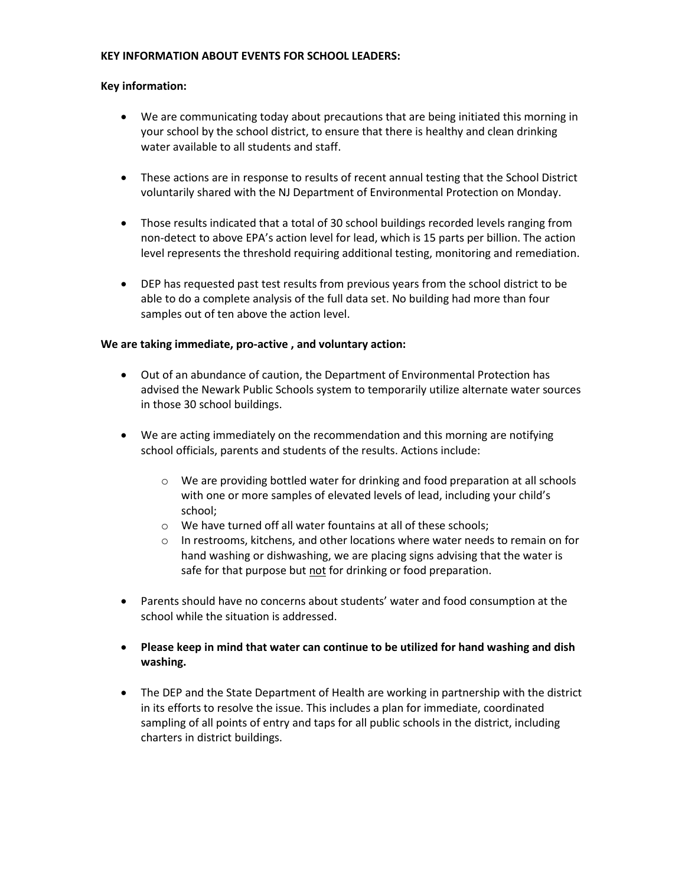## **KEY INFORMATION ABOUT EVENTS FOR SCHOOL LEADERS:**

## **Key information:**

- We are communicating today about precautions that are being initiated this morning in your school by the school district, to ensure that there is healthy and clean drinking water available to all students and staff.
- These actions are in response to results of recent annual testing that the School District voluntarily shared with the NJ Department of Environmental Protection on Monday.
- Those results indicated that a total of 30 school buildings recorded levels ranging from non-detect to above EPA's action level for lead, which is 15 parts per billion. The action level represents the threshold requiring additional testing, monitoring and remediation.
- DEP has requested past test results from previous years from the school district to be able to do a complete analysis of the full data set. No building had more than four samples out of ten above the action level.

## **We are taking immediate, pro-active , and voluntary action:**

- Out of an abundance of caution, the Department of Environmental Protection has advised the Newark Public Schools system to temporarily utilize alternate water sources in those 30 school buildings.
- We are acting immediately on the recommendation and this morning are notifying school officials, parents and students of the results. Actions include:
	- o We are providing bottled water for drinking and food preparation at all schools with one or more samples of elevated levels of lead, including your child's school;
	- o We have turned off all water fountains at all of these schools;
	- o In restrooms, kitchens, and other locations where water needs to remain on for hand washing or dishwashing, we are placing signs advising that the water is safe for that purpose but not for drinking or food preparation.
- Parents should have no concerns about students' water and food consumption at the school while the situation is addressed.
- **Please keep in mind that water can continue to be utilized for hand washing and dish washing.**
- The DEP and the State Department of Health are working in partnership with the district in its efforts to resolve the issue. This includes a plan for immediate, coordinated sampling of all points of entry and taps for all public schools in the district, including charters in district buildings.